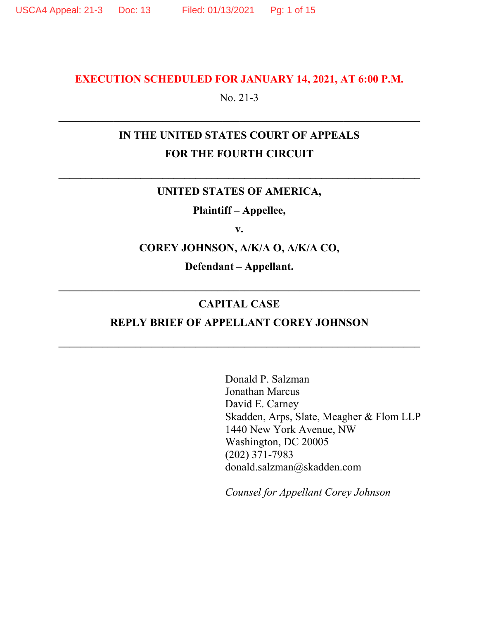#### **EXECUTION SCHEDULED FOR JANUARY 14, 2021, AT 6:00 P.M.**

No. 21-3

# **IN THE UNITED STATES COURT OF APPEALS FOR THE FOURTH CIRCUIT**

#### **UNITED STATES OF AMERICA,**

**Plaintiff – Appellee,** 

**v.** 

**COREY JOHNSON, A/K/A O, A/K/A CO,** 

**Defendant – Appellant.** 

#### **CAPITAL CASE**

#### **REPLY BRIEF OF APPELLANT COREY JOHNSON**

Donald P. Salzman Jonathan Marcus David E. Carney Skadden, Arps, Slate, Meagher & Flom LLP 1440 New York Avenue, NW Washington, DC 20005 (202) 371-7983 donald.salzman@skadden.com

*Counsel for Appellant Corey Johnson*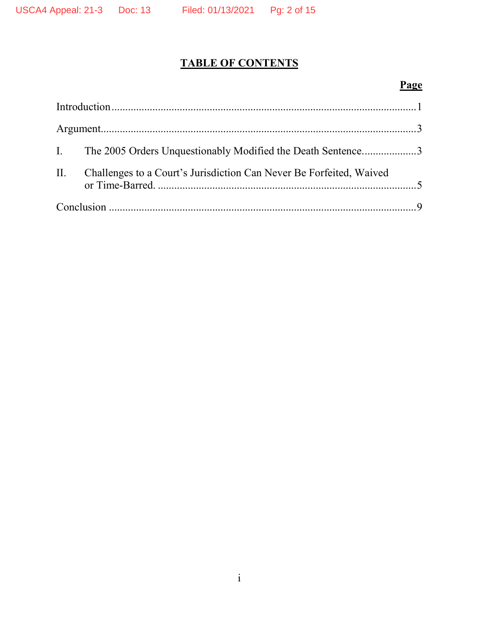# **TABLE OF CONTENTS**

# **Page**

| I. The 2005 Orders Unquestionably Modified the Death Sentence3          |  |
|-------------------------------------------------------------------------|--|
| II. Challenges to a Court's Jurisdiction Can Never Be Forfeited, Waived |  |
|                                                                         |  |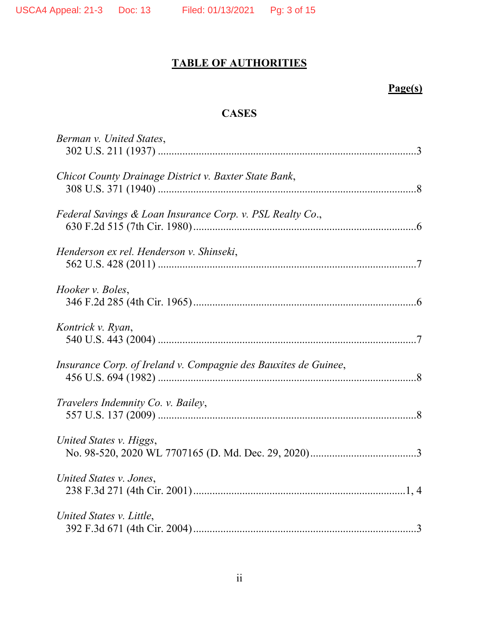# **TABLE OF AUTHORITIES**

# **Page(s)**

# **CASES**

| Berman v. United States,                                        |  |
|-----------------------------------------------------------------|--|
| Chicot County Drainage District v. Baxter State Bank,           |  |
| Federal Savings & Loan Insurance Corp. v. PSL Realty Co.,       |  |
| Henderson ex rel. Henderson v. Shinseki,                        |  |
| Hooker v. Boles,                                                |  |
| Kontrick v. Ryan,                                               |  |
| Insurance Corp. of Ireland v. Compagnie des Bauxites de Guinee, |  |
| Travelers Indemnity Co. v. Bailey,                              |  |
| United States v. Higgs,                                         |  |
| United States v. Jones,                                         |  |
| United States v. Little,                                        |  |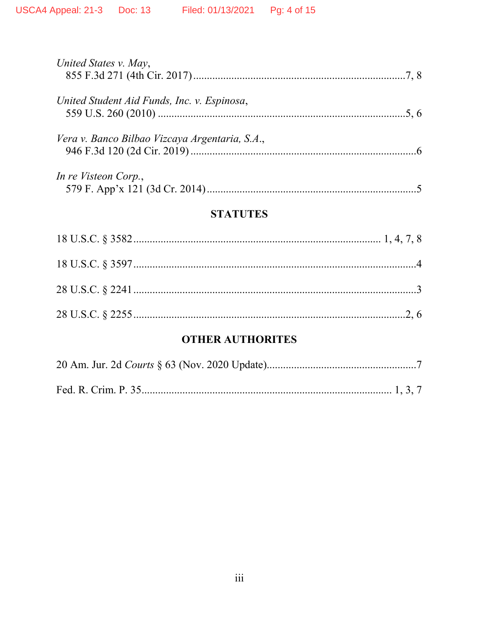| United States v. May,                          |  |
|------------------------------------------------|--|
| United Student Aid Funds, Inc. v. Espinosa,    |  |
| Vera v. Banco Bilbao Vizcaya Argentaria, S.A., |  |
| In re Visteon Corp.,                           |  |

# **STATUTES**

## **OTHER AUTHORITES**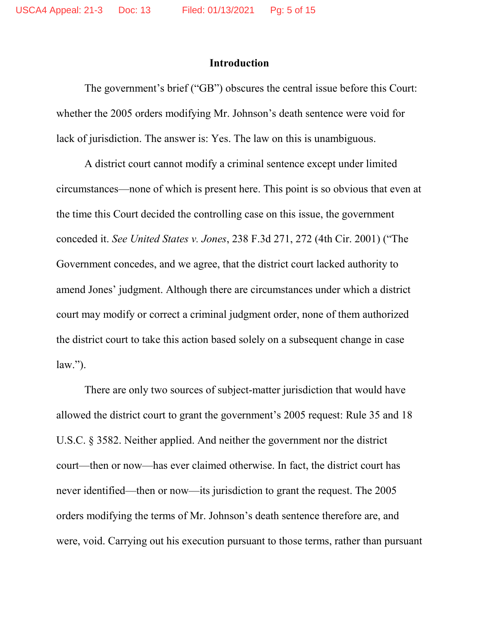#### **Introduction**

The government's brief ("GB") obscures the central issue before this Court: whether the 2005 orders modifying Mr. Johnson's death sentence were void for lack of jurisdiction. The answer is: Yes. The law on this is unambiguous.

A district court cannot modify a criminal sentence except under limited circumstances—none of which is present here. This point is so obvious that even at the time this Court decided the controlling case on this issue, the government conceded it. *See United States v. Jones*, 238 F.3d 271, 272 (4th Cir. 2001) ("The Government concedes, and we agree, that the district court lacked authority to amend Jones' judgment. Although there are circumstances under which a district court may modify or correct a criminal judgment order, none of them authorized the district court to take this action based solely on a subsequent change in case  $law.'$ ).

There are only two sources of subject-matter jurisdiction that would have allowed the district court to grant the government's 2005 request: Rule 35 and 18 U.S.C. § 3582. Neither applied. And neither the government nor the district court—then or now—has ever claimed otherwise. In fact, the district court has never identified—then or now—its jurisdiction to grant the request. The 2005 orders modifying the terms of Mr. Johnson's death sentence therefore are, and were, void. Carrying out his execution pursuant to those terms, rather than pursuant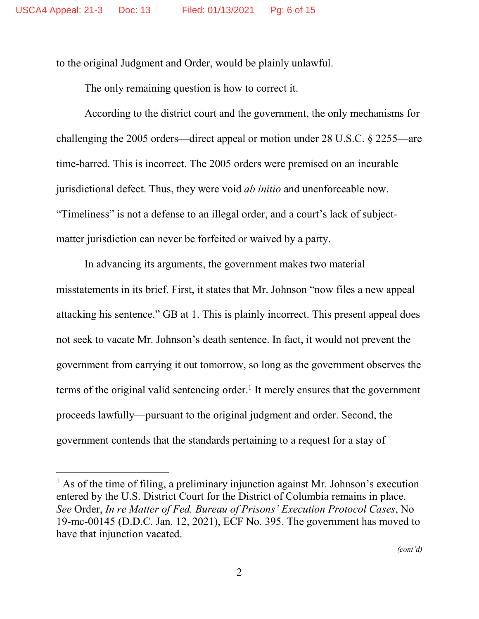to the original Judgment and Order, would be plainly unlawful.

The only remaining question is how to correct it.

According to the district court and the government, the only mechanisms for challenging the 2005 orders—direct appeal or motion under 28 U.S.C. § 2255—are time-barred. This is incorrect. The 2005 orders were premised on an incurable jurisdictional defect. Thus, they were void *ab initio* and unenforceable now. "Timeliness" is not a defense to an illegal order, and a court's lack of subjectmatter jurisdiction can never be forfeited or waived by a party.

In advancing its arguments, the government makes two material misstatements in its brief. First, it states that Mr. Johnson "now files a new appeal attacking his sentence." GB at 1. This is plainly incorrect. This present appeal does not seek to vacate Mr. Johnson's death sentence. In fact, it would not prevent the government from carrying it out tomorrow, so long as the government observes the terms of the original valid sentencing order.<sup>1</sup> It merely ensures that the government proceeds lawfully—pursuant to the original judgment and order. Second, the government contends that the standards pertaining to a request for a stay of

<sup>&</sup>lt;sup>1</sup> As of the time of filing, a preliminary injunction against Mr. Johnson's execution entered by the U.S. District Court for the District of Columbia remains in place. *See* Order, *In re Matter of Fed. Bureau of Prisons' Execution Protocol Cases*, No 19-mc-00145 (D.D.C. Jan. 12, 2021), ECF No. 395. The government has moved to have that injunction vacated.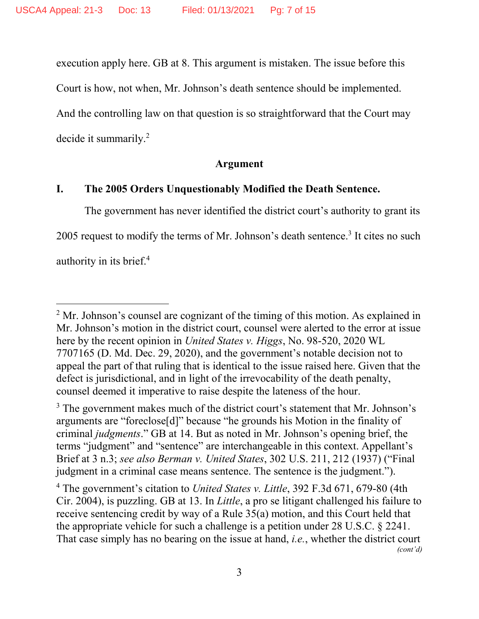execution apply here. GB at 8. This argument is mistaken. The issue before this

Court is how, not when, Mr. Johnson's death sentence should be implemented.

And the controlling law on that question is so straightforward that the Court may decide it summarily.<sup>2</sup>

#### **Argument**

#### **I. The 2005 Orders Unquestionably Modified the Death Sentence.**

The government has never identified the district court's authority to grant its 2005 request to modify the terms of Mr. Johnson's death sentence.<sup>3</sup> It cites no such authority in its brief.<sup>4</sup>

4 The government's citation to *United States v. Little*, 392 F.3d 671, 679-80 (4th Cir. 2004), is puzzling. GB at 13. In *Little*, a pro se litigant challenged his failure to receive sentencing credit by way of a Rule 35(a) motion, and this Court held that the appropriate vehicle for such a challenge is a petition under 28 U.S.C. § 2241. That case simply has no bearing on the issue at hand, *i.e.*, whether the district court *(cont'd)*

 $2^2$  Mr. Johnson's counsel are cognizant of the timing of this motion. As explained in Mr. Johnson's motion in the district court, counsel were alerted to the error at issue here by the recent opinion in *United States v. Higgs*, No. 98-520, 2020 WL 7707165 (D. Md. Dec. 29, 2020), and the government's notable decision not to appeal the part of that ruling that is identical to the issue raised here. Given that the defect is jurisdictional, and in light of the irrevocability of the death penalty, counsel deemed it imperative to raise despite the lateness of the hour.

<sup>&</sup>lt;sup>3</sup> The government makes much of the district court's statement that Mr. Johnson's arguments are "foreclose[d]" because "he grounds his Motion in the finality of criminal *judgments*." GB at 14. But as noted in Mr. Johnson's opening brief, the terms "judgment" and "sentence" are interchangeable in this context. Appellant's Brief at 3 n.3; *see also Berman v. United States*, 302 U.S. 211, 212 (1937) ("Final judgment in a criminal case means sentence. The sentence is the judgment.").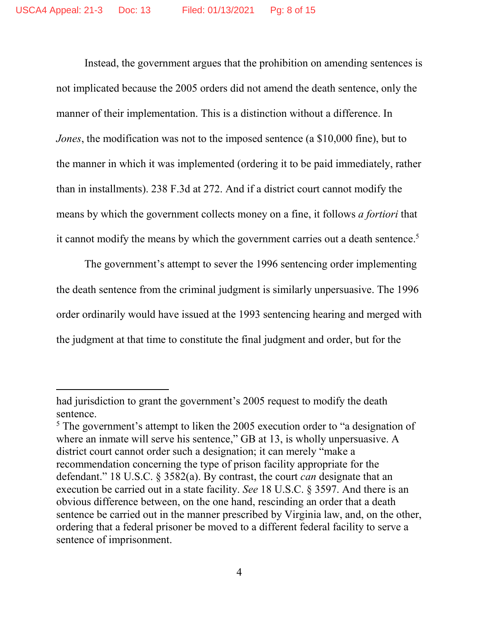Instead, the government argues that the prohibition on amending sentences is not implicated because the 2005 orders did not amend the death sentence, only the manner of their implementation. This is a distinction without a difference. In *Jones*, the modification was not to the imposed sentence (a \$10,000 fine), but to the manner in which it was implemented (ordering it to be paid immediately, rather than in installments). 238 F.3d at 272. And if a district court cannot modify the means by which the government collects money on a fine, it follows *a fortiori* that it cannot modify the means by which the government carries out a death sentence.<sup>5</sup>

The government's attempt to sever the 1996 sentencing order implementing the death sentence from the criminal judgment is similarly unpersuasive. The 1996 order ordinarily would have issued at the 1993 sentencing hearing and merged with the judgment at that time to constitute the final judgment and order, but for the

had jurisdiction to grant the government's 2005 request to modify the death sentence.

 $<sup>5</sup>$  The government's attempt to liken the 2005 execution order to "a designation of</sup> where an inmate will serve his sentence," GB at 13, is wholly unpersuasive. A district court cannot order such a designation; it can merely "make a recommendation concerning the type of prison facility appropriate for the defendant." 18 U.S.C. § 3582(a). By contrast, the court *can* designate that an execution be carried out in a state facility. *See* 18 U.S.C. § 3597. And there is an obvious difference between, on the one hand, rescinding an order that a death sentence be carried out in the manner prescribed by Virginia law, and, on the other, ordering that a federal prisoner be moved to a different federal facility to serve a sentence of imprisonment.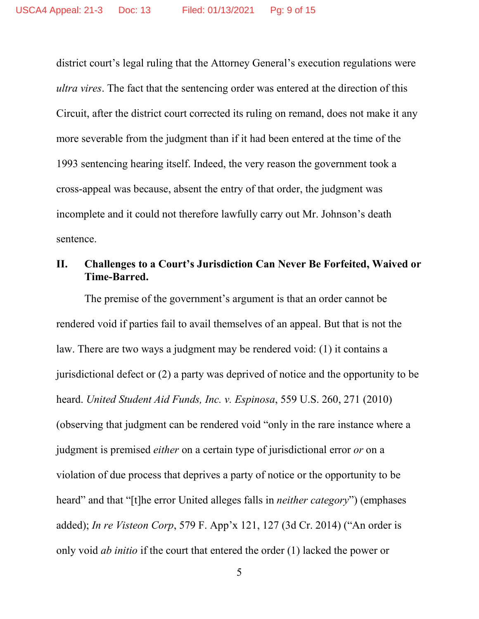district court's legal ruling that the Attorney General's execution regulations were *ultra vires*. The fact that the sentencing order was entered at the direction of this Circuit, after the district court corrected its ruling on remand, does not make it any more severable from the judgment than if it had been entered at the time of the 1993 sentencing hearing itself. Indeed, the very reason the government took a cross-appeal was because, absent the entry of that order, the judgment was incomplete and it could not therefore lawfully carry out Mr. Johnson's death sentence.

### **II. Challenges to a Court's Jurisdiction Can Never Be Forfeited, Waived or Time-Barred.**

The premise of the government's argument is that an order cannot be rendered void if parties fail to avail themselves of an appeal. But that is not the law. There are two ways a judgment may be rendered void: (1) it contains a jurisdictional defect or (2) a party was deprived of notice and the opportunity to be heard. *United Student Aid Funds, Inc. v. Espinosa*, 559 U.S. 260, 271 (2010) (observing that judgment can be rendered void "only in the rare instance where a judgment is premised *either* on a certain type of jurisdictional error *or* on a violation of due process that deprives a party of notice or the opportunity to be heard" and that "[t]he error United alleges falls in *neither category*") (emphases added); *In re Visteon Corp*, 579 F. App'x 121, 127 (3d Cr. 2014) ("An order is only void *ab initio* if the court that entered the order (1) lacked the power or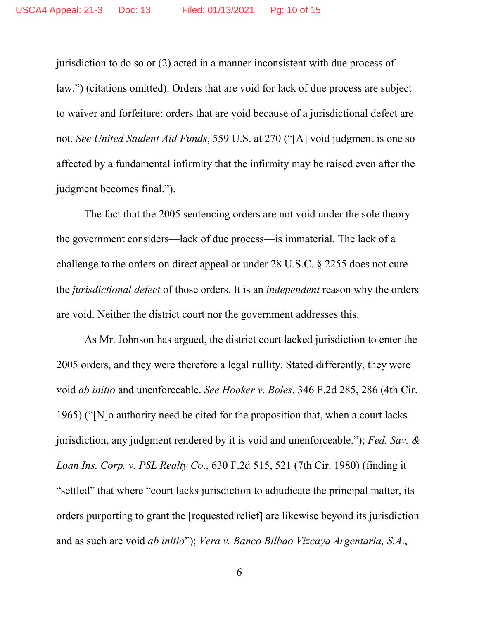jurisdiction to do so or (2) acted in a manner inconsistent with due process of law.") (citations omitted). Orders that are void for lack of due process are subject to waiver and forfeiture; orders that are void because of a jurisdictional defect are not. *See United Student Aid Funds*, 559 U.S. at 270 ("[A] void judgment is one so affected by a fundamental infirmity that the infirmity may be raised even after the judgment becomes final.").

The fact that the 2005 sentencing orders are not void under the sole theory the government considers—lack of due process—is immaterial. The lack of a challenge to the orders on direct appeal or under 28 U.S.C. § 2255 does not cure the *jurisdictional defect* of those orders. It is an *independent* reason why the orders are void. Neither the district court nor the government addresses this.

As Mr. Johnson has argued, the district court lacked jurisdiction to enter the 2005 orders, and they were therefore a legal nullity. Stated differently, they were void *ab initio* and unenforceable. *See Hooker v. Boles*, 346 F.2d 285, 286 (4th Cir. 1965) ("[N]o authority need be cited for the proposition that, when a court lacks jurisdiction, any judgment rendered by it is void and unenforceable."); *Fed. Sav. & Loan Ins. Corp. v. PSL Realty Co*., 630 F.2d 515, 521 (7th Cir. 1980) (finding it "settled" that where "court lacks jurisdiction to adjudicate the principal matter, its orders purporting to grant the [requested relief] are likewise beyond its jurisdiction and as such are void *ab initio*"); *Vera v. Banco Bilbao Vizcaya Argentaria, S.A*.,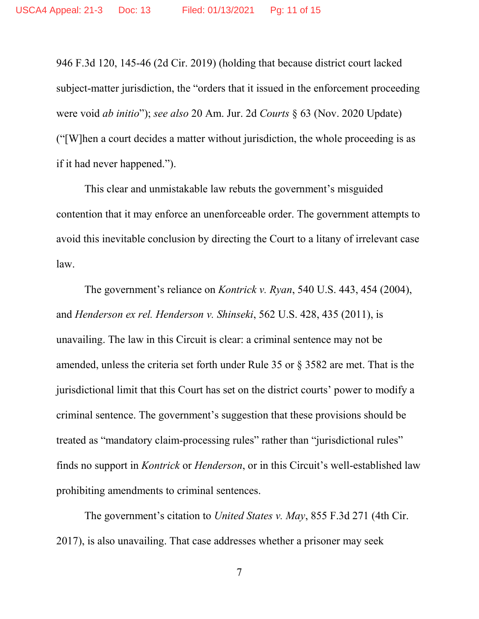946 F.3d 120, 145-46 (2d Cir. 2019) (holding that because district court lacked subject-matter jurisdiction, the "orders that it issued in the enforcement proceeding were void *ab initio*"); *see also* 20 Am. Jur. 2d *Courts* § 63 (Nov. 2020 Update) ("[W]hen a court decides a matter without jurisdiction, the whole proceeding is as if it had never happened.").

This clear and unmistakable law rebuts the government's misguided contention that it may enforce an unenforceable order. The government attempts to avoid this inevitable conclusion by directing the Court to a litany of irrelevant case law.

The government's reliance on *Kontrick v. Ryan*, 540 U.S. 443, 454 (2004), and *Henderson ex rel. Henderson v. Shinseki*, 562 U.S. 428, 435 (2011), is unavailing. The law in this Circuit is clear: a criminal sentence may not be amended, unless the criteria set forth under Rule 35 or § 3582 are met. That is the jurisdictional limit that this Court has set on the district courts' power to modify a criminal sentence. The government's suggestion that these provisions should be treated as "mandatory claim-processing rules" rather than "jurisdictional rules" finds no support in *Kontrick* or *Henderson*, or in this Circuit's well-established law prohibiting amendments to criminal sentences.

The government's citation to *United States v. May*, 855 F.3d 271 (4th Cir. 2017), is also unavailing. That case addresses whether a prisoner may seek

7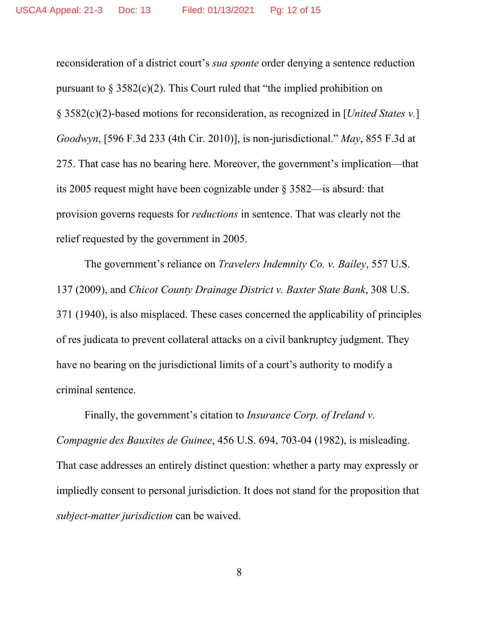reconsideration of a district court's *sua sponte* order denying a sentence reduction pursuant to  $\S 3582(c)(2)$ . This Court ruled that "the implied prohibition on § 3582(c)(2)-based motions for reconsideration, as recognized in [*United States v.*] *Goodwyn*, [596 F.3d 233 (4th Cir. 2010)], is non-jurisdictional." *May*, 855 F.3d at 275. That case has no bearing here. Moreover, the government's implication—that its 2005 request might have been cognizable under § 3582—is absurd: that provision governs requests for *reductions* in sentence. That was clearly not the relief requested by the government in 2005.

The government's reliance on *Travelers Indemnity Co. v. Bailey*, 557 U.S. 137 (2009), and *Chicot County Drainage District v. Baxter State Bank*, 308 U.S. 371 (1940), is also misplaced. These cases concerned the applicability of principles of res judicata to prevent collateral attacks on a civil bankruptcy judgment. They have no bearing on the jurisdictional limits of a court's authority to modify a criminal sentence.

Finally, the government's citation to *Insurance Corp. of Ireland v. Compagnie des Bauxites de Guinee*, 456 U.S. 694, 703-04 (1982), is misleading. That case addresses an entirely distinct question: whether a party may expressly or impliedly consent to personal jurisdiction. It does not stand for the proposition that *subject-matter jurisdiction* can be waived.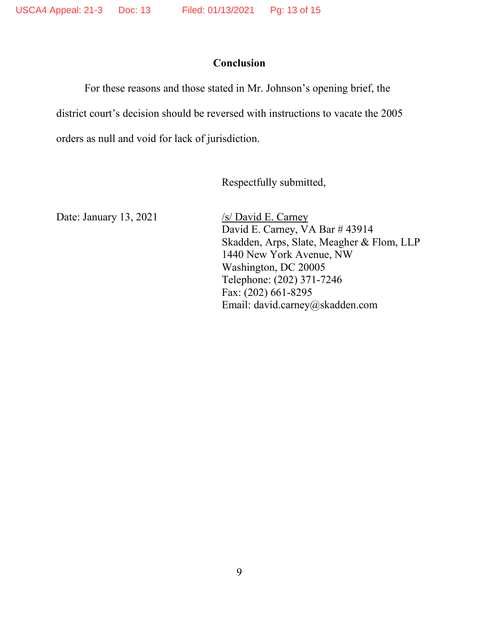### **Conclusion**

For these reasons and those stated in Mr. Johnson's opening brief, the district court's decision should be reversed with instructions to vacate the 2005 orders as null and void for lack of jurisdiction.

Respectfully submitted,

Date: January 13, 2021 /s/ David E. Carney

David E. Carney, VA Bar # 43914 Skadden, Arps, Slate, Meagher & Flom, LLP 1440 New York Avenue, NW Washington, DC 20005 Telephone: (202) 371-7246 Fax: (202) 661-8295 Email: david.carney@skadden.com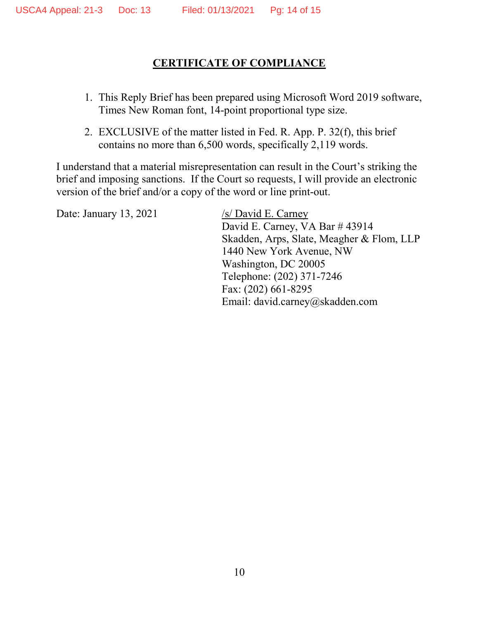# **CERTIFICATE OF COMPLIANCE**

- 1. This Reply Brief has been prepared using Microsoft Word 2019 software, Times New Roman font, 14-point proportional type size.
- 2. EXCLUSIVE of the matter listed in Fed. R. App. P. 32(f), this brief contains no more than 6,500 words, specifically 2,119 words.

I understand that a material misrepresentation can result in the Court's striking the brief and imposing sanctions. If the Court so requests, I will provide an electronic version of the brief and/or a copy of the word or line print-out.

Date: January 13, 2021  $\frac{\sqrt{s}}{\sqrt{S}}$  /s/David E. Carney

David E. Carney, VA Bar # 43914 Skadden, Arps, Slate, Meagher & Flom, LLP 1440 New York Avenue, NW Washington, DC 20005 Telephone: (202) 371-7246 Fax: (202) 661-8295 Email: david.carney@skadden.com